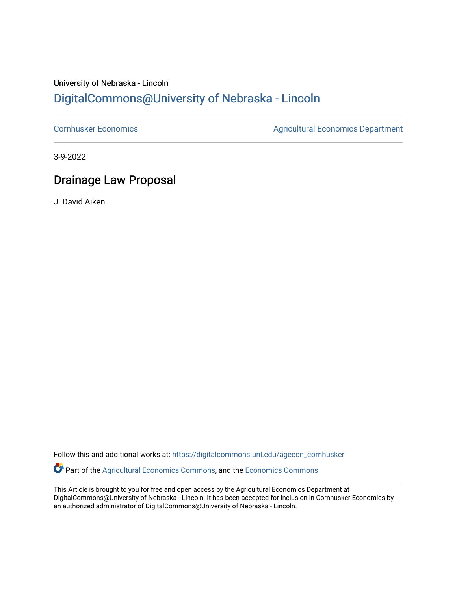## University of Nebraska - Lincoln [DigitalCommons@University of Nebraska - Lincoln](https://digitalcommons.unl.edu/)

[Cornhusker Economics](https://digitalcommons.unl.edu/agecon_cornhusker) **Agricultural Economics** Department

3-9-2022

## Drainage Law Proposal

J. David Aiken

Follow this and additional works at: [https://digitalcommons.unl.edu/agecon\\_cornhusker](https://digitalcommons.unl.edu/agecon_cornhusker?utm_source=digitalcommons.unl.edu%2Fagecon_cornhusker%2F1142&utm_medium=PDF&utm_campaign=PDFCoverPages)  Part of the [Agricultural Economics Commons,](http://network.bepress.com/hgg/discipline/1225?utm_source=digitalcommons.unl.edu%2Fagecon_cornhusker%2F1142&utm_medium=PDF&utm_campaign=PDFCoverPages) and the [Economics Commons](http://network.bepress.com/hgg/discipline/340?utm_source=digitalcommons.unl.edu%2Fagecon_cornhusker%2F1142&utm_medium=PDF&utm_campaign=PDFCoverPages) 

This Article is brought to you for free and open access by the Agricultural Economics Department at DigitalCommons@University of Nebraska - Lincoln. It has been accepted for inclusion in Cornhusker Economics by an authorized administrator of DigitalCommons@University of Nebraska - Lincoln.